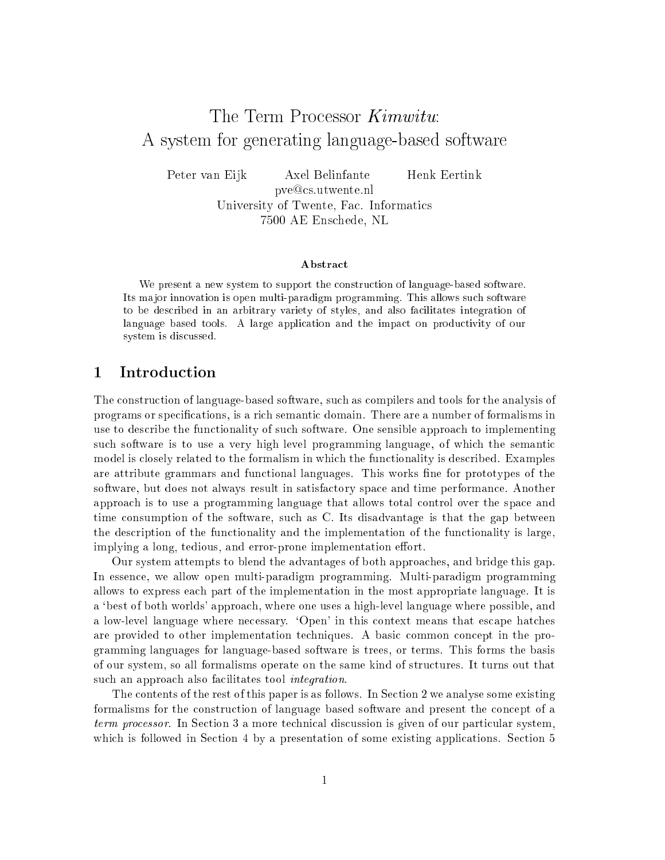# The Term Processor Kimwitu: A system for generating language-based software

Peter van Eijk Axel Belinfante Henk Eertink

pve@cs.utwente.nl University of Twente, Fac. Informatics 7500 AE Enschede, NL

### Abstract

We present a new system to support the construction of language-based software. Its ma jor innovation is open multi-paradigm programming. This allows such software to be described in an arbitrary variety of styles, and also facilitates integration of language based tools. A large application and the impact on productivity of our system is discussed.

### $\mathbf{1}$ Introduction

The construction of language-based software, such as compilers and tools for the analysis of programs or specications, is a rich semantic domain. There are a number of formalisms in use to describe the functionality of such software. One sensible approach to implementing such software is to use a very high level programming language, of which the semantic model is closely related to the formalism in which the functionality is described. Examples are attribute grammars and functional languages. This works fine for prototypes of the software, but does not always result in satisfactory space and time performance. Another approach is to use a programming language that allows total control over the space and time consumption of the software, such as C. Its disadvantage is that the gap between the description of the functionality and the implementation of the functionality is large, implying a long, tedious, and error-prone implementation effort.

Our system attempts to blend the advantages of both approaches, and bridge this gap. In essence, we allow open multi-paradigm programming. Multi-paradigm programming allows to express each part of the implementation in the most appropriate language. It is a `best of both worlds' approach, where one uses a high-level language where possible, and a low-level language where necessary. `Open' in this context means that escape hatches are provided to other implementation techniques. A basic common concept in the programming languages for language-based software is trees, or terms. This forms the basis of our system, so all formalisms operate on the same kind of structures. It turns out that such an approach also facilitates tool *integration*.

The contents of the rest of this paper is as follows. In Section 2 we analyse some existing formalisms for the construction of language based software and present the concept of a term processor. In Section 3 a more technical discussion is given of our particular system, which is followed in Section 4 by a presentation of some existing applications. Section 5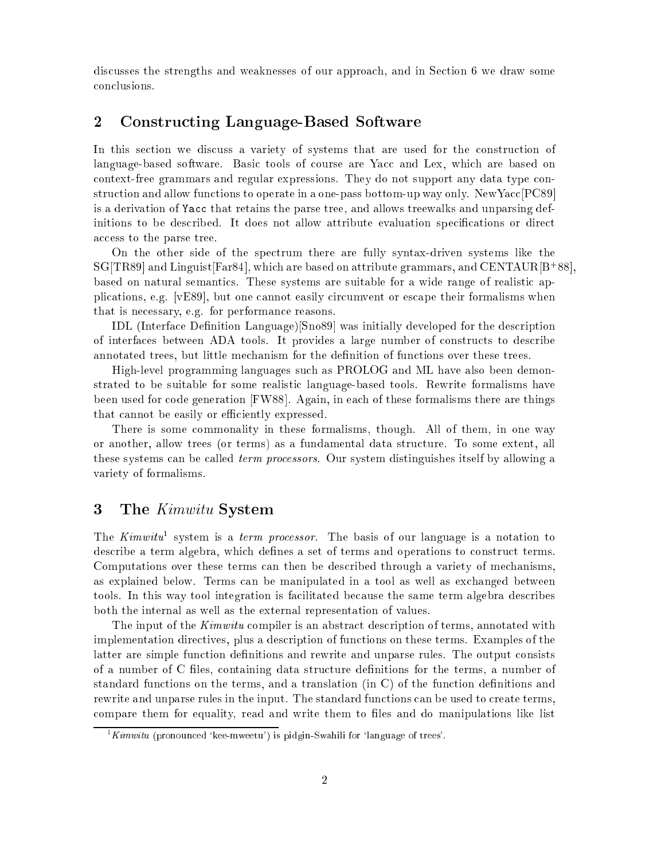discusses the strengths and weaknesses of our approach, and in Section 6 we draw some

### 2Constructing Language-Based Software

In this section we discuss a variety of systems that are used for the construction of language-based software. Basic tools of course are Yacc and Lex, which are based on context-free grammars and regular expressions. They do not support any data type construction and allow functions to operate in a one-pass bottom-up way only. NewYacc[PC89] is a derivation of Yacc that retains the parse tree, and allows treewalks and unparsing definitions to be described. It does not allow attribute evaluation specifications or direct access to the parse tree.

On the other side of the spectrum there are fully syntax-driven systems like the  $\mathrm{S}\mathrm{G}$  TR89] and Linguist[Far84], which are based on attribute grammars, and CENTAUR[B+88], based on natural semantics. These systems are suitable for a wide range of realistic applications, e.g. [vE89], but one cannot easily circumvent or escape their formalisms when that is necessary, e.g. for performance reasons.

IDL (Interface Denition Language)[Sno89] was initially developed for the description of interfaces between ADA tools. It provides a large number of constructs to describe annotated trees, but little mechanism for the definition of functions over these trees.

High-level programming languages such as PROLOG and ML have also been demonstrated to be suitable for some realistic language-based tools. Rewrite formalisms have been used for code generation [FW88]. Again, in each of these formalisms there are things that cannot be easily or efficiently expressed.

There is some commonality in these formalisms, though. All of them, in one way or another, allow trees (or terms) as a fundamental data structure. To some extent, all these systems can be called term processors. Our system distinguishes itself by allowing a variety of formalisms.

### 3The Kimwitu System

The Kimwitu system is a term processor. The basis of our language is a notation to describe a term algebra, which defines a set of terms and operations to construct terms. Computations over these terms can then be described through a variety of mechanisms, as explained below. Terms can be manipulated in a tool as well as exchanged between tools. In this way tool integration is facilitated because the same term algebra describes both the internal as well as the external representation of values.

The input of the *Kimwitu* compiler is an abstract description of terms, annotated with implementation directives, plus a description of functions on these terms. Examples of the latter are simple function definitions and rewrite and unparse rules. The output consists of a number of C les, containing data structure denitions for the terms, a number of standard functions on the terms, and a translation  $(in C)$  of the function definitions and rewrite and unparse rules in the input. The standard functions can be used to create terms, compare them for equality, read and write them to files and do manipulations like list

 $1$ Kimwitu (pronounced 'kee-mweetu') is pidgin-Swahili for 'language of trees'.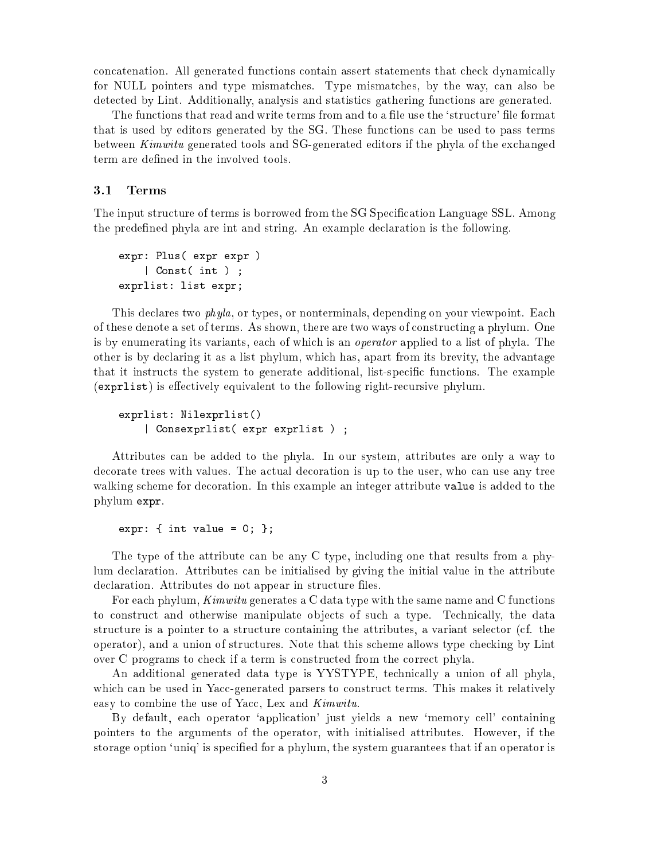concatenation. All generated functions contain assert statements that check dynamically for NULL pointers and type mismatches. Type mismatches, by the way, can also be detected by Lint. Additionally, analysis and statistics gathering functions are generated.

The functions that read and write terms from and to a file use the 'structure' file format that is used by editors generated by the SG. These functions can be used to pass terms between Kimwitu generated tools and SG-generated editors if the phyla of the exchanged term are defined in the involved tools.

### 3.1Terms

The input structure of terms is borrowed from the SG Specification Language SSL. Among the predened phyla are int and string. An example declaration is the following.

```
expression and the plus of the second contract of the second contract of the second contract of the second contract of the second contract of the second contract of the second contract of the second contract of the second 
                    | Const( int ) ;
expressed in the expression of the second contract of \mathcal{L}_1
```
This declares two phyla, or types, or nonterminals, depending on your viewpoint. Each of these denote a set of terms. As shown, there are two ways of constructing a phylum. One is by enumerating its variants, each of which is an operator applied to a list of phyla. The other is by declaring it as a list phylum, which has, apart from its brevity, the advantage that it instructs the system to generate additional, list-specic functions. The example  $(\epsilon xprlist)$  is effectively equivalent to the following right-recursive phylum.

```
exprlist: Nilexprlist()
    | Consexprlist( expr exprlist ) ;
```
Attributes can be added to the phyla. In our system, attributes are only a way to decorate trees with values. The actual decoration is up to the user, who can use any tree walking scheme for decoration. In this example an integer attribute value is added to the phylum expr.

expr: { int value <sup>=</sup> 0; };

The type of the attribute can be any C type, including one that results from a phylum declaration. Attributes can be initialised by giving the initial value in the attribute declaration. Attributes do not appear in structure files.

For each phylum, Kimwitu generates a C data type with the same name and C functions to construct and otherwise manipulate objects of such a type. Technically, the data structure is a pointer to a structure containing the attributes, a variant selector (cf. the operator), and a union of structures. Note that this scheme allows type checking by Lint over C programs to check if a term is constructed from the correct phyla.

An additional generated data type is YYSTYPE, technically a union of all phyla, which can be used in Yacc-generated parsers to construct terms. This makes it relatively easy to combine the use of Yacc, Lex and Kimwitu.

By default, each operator `application' just yields a new `memory cell' containing pointers to the arguments of the operator, with initialised attributes. However, if the storage option 'uniq' is specified for a phylum, the system guarantees that if an operator is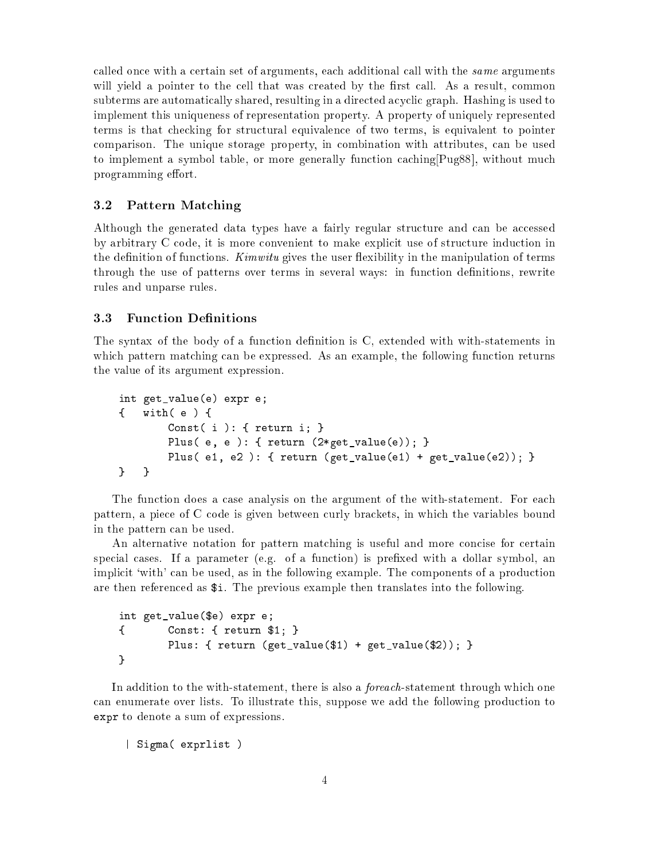called once with a certain set of arguments, each additional call with the same arguments will yield a pointer to the cell that was created by the first call. As a result, common subterms are automatically shared, resulting in a directed acyclic graph. Hashing is used to implement this uniqueness of representation property. A property of uniquely represented terms is that checking for structural equivalence of two terms, is equivalent to pointer comparison. The unique storage property, in combination with attributes, can be used to implement a symbol table, or more generally function caching[Pug88], without much programming effort.

### $3.2$ Pattern Matching

Although the generated data types have a fairly regular structure and can be accessed by arbitrary C code, it is more convenient to make explicit use of structure induction in the definition of functions. *Kimwitu* gives the user flexibility in the manipulation of terms through the use of patterns over terms in several ways: in function definitions, rewrite rules and unparse rules.

## 3.3

The syntax of the body of a function definition is C, extended with with-statements in which pattern matching can be expressed. As an example, the following function returns the value of its argument expression.

```
int get_value(e) expr e;
{ with( e ) {
        Const( i ): { return i; }
        Plus( e, e ): { return (2*get_value(e)); }
        Plus( e1, e2 ): { return (get_value(e1) + get_value(e2)); }
} }
```
The function does a case analysis on the argument of the with-statement. For each pattern, a piece of C code is given between curly brackets, in which the variables bound in the pattern can be used.

An alternative notation for pattern matching is useful and more concise for certain special cases. If a parameter (e.g. of a function) is prefixed with a dollar symbol, an implicit 'with' can be used, as in the following example. The components of a production are then referenced as \$i. The previous example then translates into the following.

```
int get_value($e) expr e;
\left\{ \right. Const: { return $1; }
\overline{\phantom{a}}Plus: { return (get_value($1) + get_value($2)); }
}
```
In addition to the with-statement, there is also a *foreach*-statement through which one can enumerate over lists. To illustrate this, suppose we add the following production to expressions are a sum of expressions. The denotes a sum of expressions of expressions. The contract of expressions of expressions. The contract of expressions of expressions. The contract of expressions of expressions. The

 $\blacksquare$  Sigman( expression )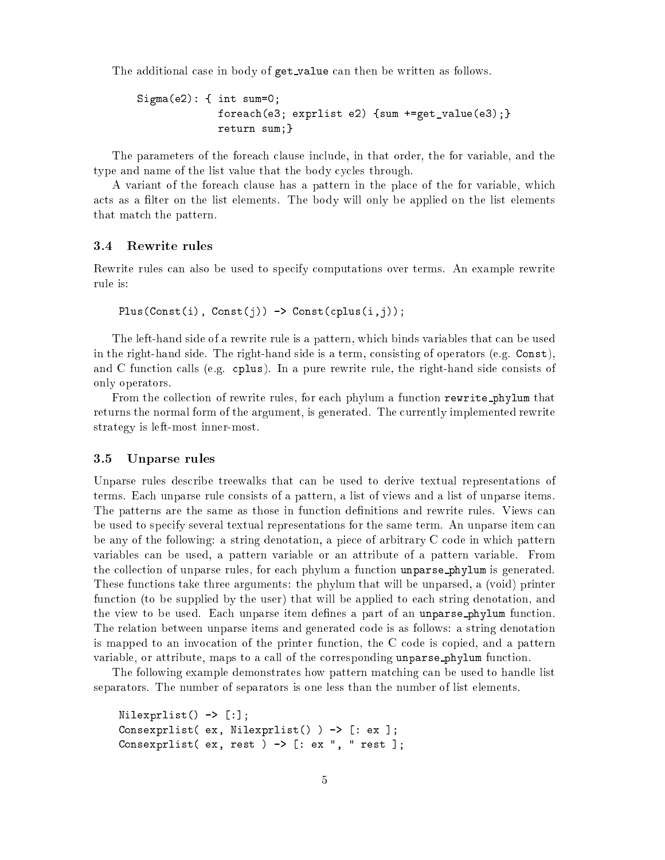The additional case in body of get\_value can then be written as follows.

```
Sigma(e2): { int sum=0;
             foreach(e3; exprlist e2) {sum +=get_value(e3);}
                    sum;}
```
The parameters of the foreach clause include, in that order, the for variable, and the type and name of the list value that the body cycles through.

A variant of the foreach clause has a pattern in the place of the for variable, which acts as a filter on the list elements. The body will only be applied on the list elements that match the pattern.

### 3.4 Rewrite rules

Rewrite rules can also be used to specify computations over terms. An example rewrite rule is:

Plus(Const(i), Const(j)) -> Const(cplus(i,j));

The left-hand side of a rewrite rule is a pattern, which binds variables that can be used in the right-hand side. The right-hand side is a term, consisting of operators (e.g. Const), and C function calls (e.g. cplus). In a pure rewrite rule, the right-hand side consists of only operators.

From the collection of rewrite rules, for each phylum a function rewrite phylum that returns the normal form of the argument, is generated. The currently implemented rewrite strategy is left-most inner-most.

### 3.5Unparse rules

Unparse rules describe treewalks that can be used to derive textual representations of terms. Each unparse rule consists of a pattern, a list of views and a list of unparse items. The patterns are the same as those in function definitions and rewrite rules. Views can be used to specify several textual representations for the same term. An unparse item can be any of the following: a string denotation, a piece of arbitrary C code in which pattern variables can be used, a pattern variable or an attribute of a pattern variable. From the collection of unparse rules, for each phylum a function unparse phylum is generated. These functions take three arguments: the phylum that will be unparsed, a (void) printer function (to be supplied by the user) that will be applied to each string denotation, and the view to be used. Each unparse item defines a part of an unparse phylum function. The relation between unparse items and generated code is as follows: a string denotation is mapped to an invocation of the printer function, the C code is copied, and a pattern variable, or attribute, maps to a call of the corresponding unparse phylum function.

The following example demonstrates how pattern matching can be used to handle list separators. The number of separators is one less than the number of list elements.

```
Nilexprlist() -> [:];
Consexprlist( ex, Nilexprlist() ) -> [: ex ];
Consexprlist( ex, rest ) -> [: ex ", " rest ];
```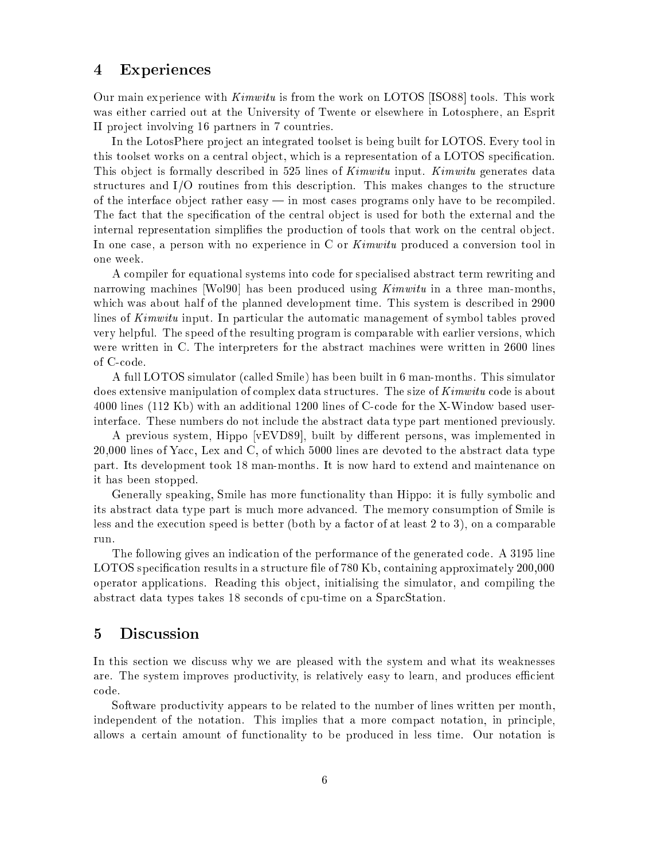### 4Experiences

Our main experience with Kimwitu is from the work on LOTOS [ISO88] tools. This work was either carried out at the University of Twente or elsewhere in Lotosphere, an Esprit II pro ject involving 16 partners in 7 countries.

In the LotosPhere project an integrated toolset is being built for LOTOS. Every tool in this toolset works on a central object, which is a representation of a LOTOS specification. This object is formally described in 525 lines of *Kimwitu* input. *Kimwitu* generates data structures and I/O routines from this description. This makes changes to the structure of the interface object rather easy  $-$  in most cases programs only have to be recompiled. The fact that the specification of the central object is used for both the external and the internal representation simplifies the production of tools that work on the central object. In one case, a person with no experience in C or Kimwitu produced a conversion tool in one week.

A compiler for equational systems into code for specialised abstract term rewriting and narrowing machines [Wol90] has been produced using *Kimwitu* in a three man-months. which was about half of the planned development time. This system is described in 2900 lines of Kimwitu input. In particular the automatic management of symbol tables proved very helpful. The speed of the resulting program is comparable with earlier versions, which were written in C. The interpreters for the abstract machines were written in 2600 lines of C-code.

A full LOTOS simulator (called Smile) has been built in 6 man-months. This simulator does extensive manipulation of complex data structures. The size of Kimwitu code is about 4000 lines (112 Kb) with an additional 1200 lines of C-code for the X-Window based userinterface. These numbers do not include the abstract data type part mentioned previously.

A previous system, Hippo [vEVD89], built by different persons, was implemented in 20,000 lines of Yacc, Lex and C, of which 5000 lines are devoted to the abstract data type part. Its development took 18 man-months. It is now hard to extend and maintenance on it has been stopped.

Generally speaking, Smile has more functionality than Hippo: it is fully symbolic and its abstract data type part is much more advanced. The memory consumption of Smile is less and the execution speed is better (both by a factor of at least 2 to 3), on a comparable run.

The following gives an indication of the performance of the generated code. A 3195 line LOTOS specification results in a structure file of 780 Kb, containing approximately 200,000 operator applications. Reading this ob ject, initialising the simulator, and compiling the abstract data types takes 18 seconds of cpu-time on a SparcStation.

#### $\overline{5}$  Discussion  $\overline{\phantom{0}}$

In this section we discuss why we are pleased with the system and what its weaknesses are. The system improves productivity, is relatively easy to learn, and produces efficient code.

Software productivity appears to be related to the number of lines written per month, independent of the notation. This implies that a more compact notation, in principle, allows a certain amount of functionality to be produced in less time. Our notation is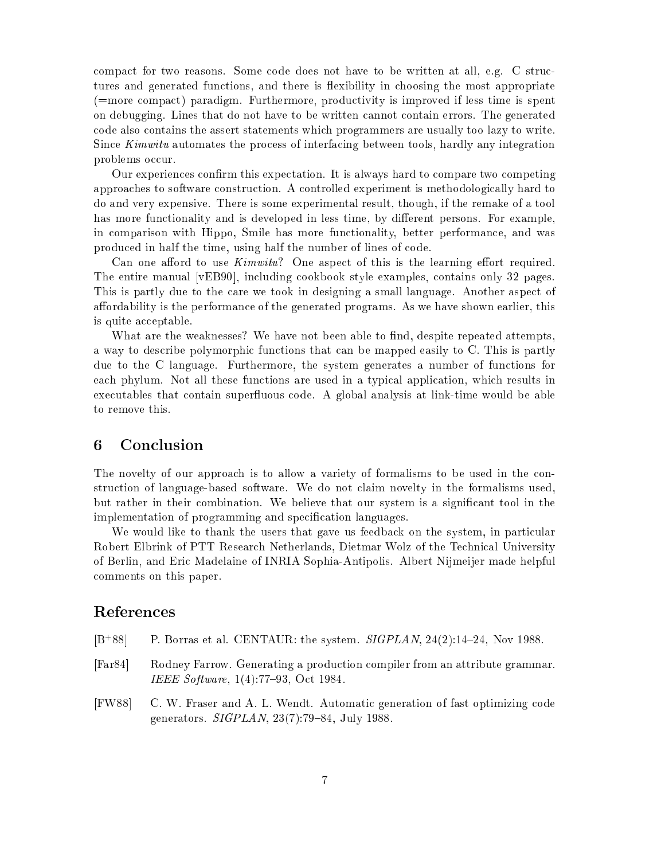compact for two reasons. Some code does not have to be written at all, e.g. C structures and generated functions, and there is flexibility in choosing the most appropriate (=more compact) paradigm. Furthermore, productivity is improved if less time is spent on debugging. Lines that do not have to be written cannot contain errors. The generated code also contains the assert statements which programmers are usually too lazy to write. Since Kimwitu automates the process of interfacing between tools, hardly any integration problems occur.

Our experiences confirm this expectation. It is always hard to compare two competing approaches to software construction. A controlled experiment is methodologically hard to do and very expensive. There is some experimental result, though, if the remake of a tool has more functionality and is developed in less time, by different persons. For example, in comparison with Hippo, Smile has more functionality, better performance, and was produced in half the time, using half the number of lines of code.

Can one afford to use  $Kimwitu$ ? One aspect of this is the learning effort required. The entire manual [vEB90], including cookbook style examples, contains only 32 pages. This is partly due to the care we took in designing a small language. Another aspect of affordability is the performance of the generated programs. As we have shown earlier, this is quite acceptable.

What are the weaknesses? We have not been able to find, despite repeated attempts, a way to describe polymorphic functions that can be mapped easily to C. This is partly due to the C language. Furthermore, the system generates a number of functions for each phylum. Not all these functions are used in a typical application, which results in executables that contain superfluous code. A global analysis at link-time would be able to remove this.

### Conclusion 6

The novelty of our approach is to allow a variety of formalisms to be used in the construction of language-based software. We do not claim novelty in the formalisms used, but rather in their combination. We believe that our system is a signicant tool in the implementation of programming and specification languages.

We would like to thank the users that gave us feedback on the system, in particular Robert Elbrink of PTT Research Netherlands, Dietmar Wolz of the Technical University of Berlin, and Eric Madelaine of INRIA Sophia-Antipolis. Albert Nijmeijer made helpful comments on this paper.

- $[B+88]$ P. Borras et al. CENTAUR: the system. SIGPLAN, 24(2):14-24, Nov 1988.
- [Far84] Rodney Farrow. Generating a production compiler from an attribute grammar. IEEE Software,  $1(4):77{-}93$ , Oct 1984.
- [FW88] C. W. Fraser and A. L. Wendt. Automatic generation of fast optimizing code generators.  $SIGPLAN$ ,  $23(7):79{-}84$ , July 1988.